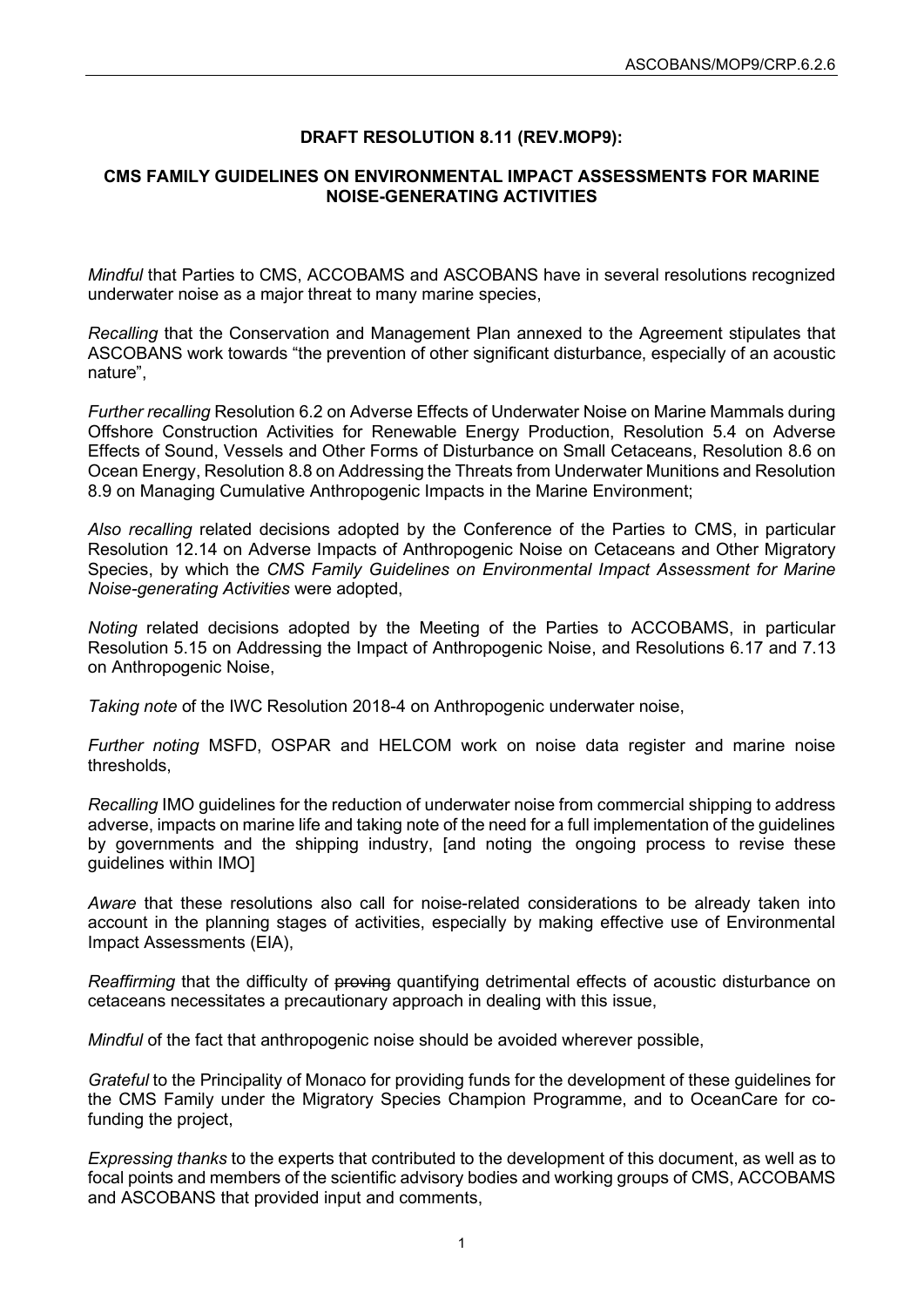## **DRAFT RESOLUTION 8.11 (REV.MOP9):**

## **CMS FAMILY GUIDELINES ON ENVIRONMENTAL IMPACT ASSESSMENTS FOR MARINE NOISE-GENERATING ACTIVITIES**

*Mindful* that Parties to CMS, ACCOBAMS and ASCOBANS have in several resolutions recognized underwater noise as a major threat to many marine species,

*Recalling* that the Conservation and Management Plan annexed to the Agreement stipulates that ASCOBANS work towards "the prevention of other significant disturbance, especially of an acoustic nature",

*Further recalling* Resolution 6.2 on Adverse Effects of Underwater Noise on Marine Mammals during Offshore Construction Activities for Renewable Energy Production, Resolution 5.4 on Adverse Effects of Sound, Vessels and Other Forms of Disturbance on Small Cetaceans, Resolution 8.6 on Ocean Energy, Resolution 8.8 on Addressing the Threats from Underwater Munitions and Resolution 8.9 on Managing Cumulative Anthropogenic Impacts in the Marine Environment;

*Also recalling* related decisions adopted by the Conference of the Parties to CMS, in particular Resolution 12.14 on Adverse Impacts of Anthropogenic Noise on Cetaceans and Other Migratory Species, by which the *CMS Family Guidelines on Environmental Impact Assessment for Marine Noise-generating Activities* were adopted,

*Noting* related decisions adopted by the Meeting of the Parties to ACCOBAMS, in particular Resolution 5.15 on Addressing the Impact of Anthropogenic Noise, and Resolutions 6.17 and 7.13 on Anthropogenic Noise,

*Taking note* of the IWC Resolution 2018-4 on Anthropogenic underwater noise,

*Further noting* MSFD, OSPAR and HELCOM work on noise data register and marine noise thresholds,

*Recalling* IMO guidelines for the reduction of underwater noise from commercial shipping to address adverse, impacts on marine life and taking note of the need for a full implementation of the guidelines by governments and the shipping industry, [and noting the ongoing process to revise these guidelines within IMO]

*Aware* that these resolutions also call for noise-related considerations to be already taken into account in the planning stages of activities, especially by making effective use of Environmental Impact Assessments (EIA),

*Reaffirming* that the difficulty of proving quantifying detrimental effects of acoustic disturbance on cetaceans necessitates a precautionary approach in dealing with this issue,

*Mindful* of the fact that anthropogenic noise should be avoided wherever possible,

*Grateful* to the Principality of Monaco for providing funds for the development of these guidelines for the CMS Family under the Migratory Species Champion Programme, and to OceanCare for cofunding the project,

*Expressing thanks* to the experts that contributed to the development of this document, as well as to focal points and members of the scientific advisory bodies and working groups of CMS, ACCOBAMS and ASCOBANS that provided input and comments,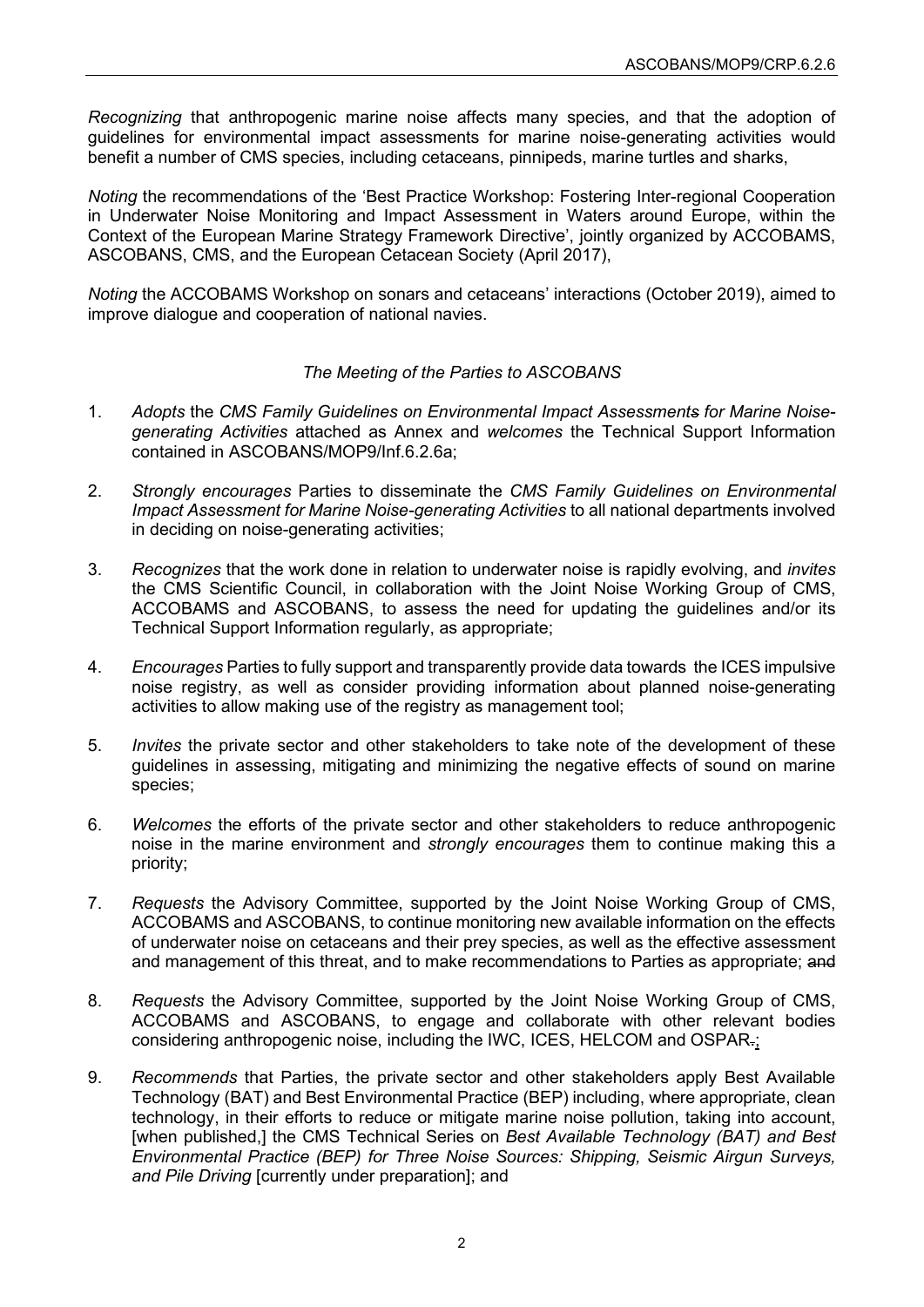*Recognizing* that anthropogenic marine noise affects many species, and that the adoption of guidelines for environmental impact assessments for marine noise-generating activities would benefit a number of CMS species, including cetaceans, pinnipeds, marine turtles and sharks,

*Noting* the recommendations of the 'Best Practice Workshop: Fostering Inter-regional Cooperation in Underwater Noise Monitoring and Impact Assessment in Waters around Europe, within the Context of the European Marine Strategy Framework Directive', jointly organized by ACCOBAMS, ASCOBANS, CMS, and the European Cetacean Society (April 2017),

*Noting* the ACCOBAMS Workshop on sonars and cetaceans' interactions (October 2019), aimed to improve dialogue and cooperation of national navies.

## *The Meeting of the Parties to ASCOBANS*

- 1. *Adopts* the *CMS Family Guidelines on Environmental Impact Assessments for Marine Noisegenerating Activities* attached as Annex and *welcomes* the Technical Support Information contained in ASCOBANS/MOP9/Inf.6.2.6a;
- 2. *Strongly encourages* Parties to disseminate the *CMS Family Guidelines on Environmental Impact Assessment for Marine Noise-generating Activities* to all national departments involved in deciding on noise-generating activities;
- 3. *Recognizes* that the work done in relation to underwater noise is rapidly evolving, and *invites* the CMS Scientific Council, in collaboration with the Joint Noise Working Group of CMS, ACCOBAMS and ASCOBANS, to assess the need for updating the guidelines and/or its Technical Support Information regularly, as appropriate;
- 4. *Encourages* Parties to fully support and transparently provide data towards the ICES impulsive noise registry, as well as consider providing information about planned noise-generating activities to allow making use of the registry as management tool;
- 5. *Invites* the private sector and other stakeholders to take note of the development of these guidelines in assessing, mitigating and minimizing the negative effects of sound on marine species;
- 6. *Welcomes* the efforts of the private sector and other stakeholders to reduce anthropogenic noise in the marine environment and *strongly encourages* them to continue making this a priority;
- 7. *Requests* the Advisory Committee, supported by the Joint Noise Working Group of CMS, ACCOBAMS and ASCOBANS, to continue monitoring new available information on the effects of underwater noise on cetaceans and their prey species, as well as the effective assessment and management of this threat, and to make recommendations to Parties as appropriate; and
- 8. *Requests* the Advisory Committee, supported by the Joint Noise Working Group of CMS, ACCOBAMS and ASCOBANS, to engage and collaborate with other relevant bodies considering anthropogenic noise, including the IWC, ICES, HELCOM and OSPAR.;
- 9. *Recommends* that Parties, the private sector and other stakeholders apply Best Available Technology (BAT) and Best Environmental Practice (BEP) including, where appropriate, clean technology, in their efforts to reduce or mitigate marine noise pollution, taking into account, [when published,] the CMS Technical Series on *Best Available Technology (BAT) and Best Environmental Practice (BEP) for Three Noise Sources: Shipping, Seismic Airgun Surveys, and Pile Driving* [currently under preparation]; and